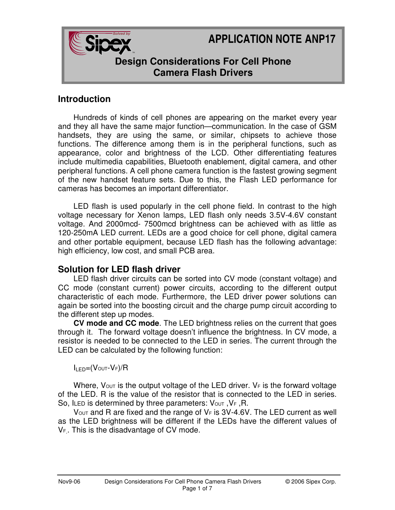**APPLICATION NOTE ANP17**

# **Design Considerations For Cell Phone Camera Flash Drivers**

## **Introduction**

Hundreds of kinds of cell phones are appearing on the market every year and they all have the same major function—communication. In the case of GSM handsets, they are using the same, or similar, chipsets to achieve those functions. The difference among them is in the peripheral functions, such as appearance, color and brightness of the LCD. Other differentiating features include multimedia capabilities, Bluetooth enablement, digital camera, and other peripheral functions. A cell phone camera function is the fastest growing segment of the new handset feature sets. Due to this, the Flash LED performance for cameras has becomes an important differentiator.

LED flash is used popularly in the cell phone field. In contrast to the high voltage necessary for Xenon lamps, LED flash only needs 3.5V-4.6V constant voltage. And 2000mcd- 7500mcd brightness can be achieved with as little as 120-250mA LED current. LEDs are a good choice for cell phone, digital camera and other portable equipment, because LED flash has the following advantage: high efficiency, low cost, and small PCB area.

## **Solution for LED flash driver**

**Solved by**

TM

LED flash driver circuits can be sorted into CV mode (constant voltage) and CC mode (constant current) power circuits, according to the different output characteristic of each mode. Furthermore, the LED driver power solutions can again be sorted into the boosting circuit and the charge pump circuit according to the different step up modes.

**CV mode and CC mode**. The LED brightness relies on the current that goes through it. The forward voltage doesn't influence the brightness. In CV mode, a resistor is needed to be connected to the LED in series. The current through the LED can be calculated by the following function:

 $I_{LED} = (V_{OUT} - V_F)/R$ 

Where,  $V_{\text{OUT}}$  is the output voltage of the LED driver.  $V_F$  is the forward voltage of the LED. R is the value of the resistor that is connected to the LED in series. So, ILED is determined by three parameters:  $V_{\text{OUT}}$ ,  $V_F$ , R.

 $V_{\text{OUT}}$  and R are fixed and the range of  $V_F$  is 3V-4.6V. The LED current as well as the LED brightness will be different if the LEDs have the different values of  $V_F$ . This is the disadvantage of CV mode.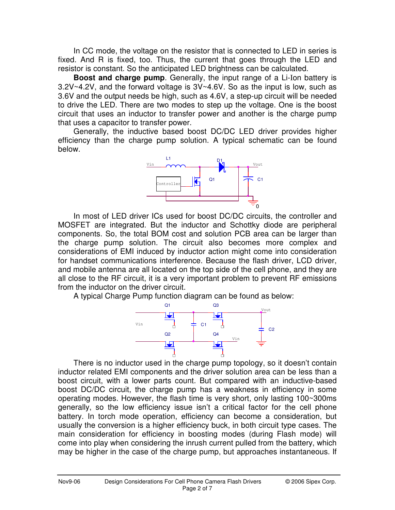In CC mode, the voltage on the resistor that is connected to LED in series is fixed. And R is fixed, too. Thus, the current that goes through the LED and resistor is constant. So the anticipated LED brightness can be calculated.

**Boost and charge pump**. Generally, the input range of a Li-Ion battery is 3.2V~4.2V, and the forward voltage is 3V~4.6V. So as the input is low, such as 3.6V and the output needs be high, such as 4.6V, a step-up circuit will be needed to drive the LED. There are two modes to step up the voltage. One is the boost circuit that uses an inductor to transfer power and another is the charge pump that uses a capacitor to transfer power.

Generally, the inductive based boost DC/DC LED driver provides higher efficiency than the charge pump solution. A typical schematic can be found below.



In most of LED driver ICs used for boost DC/DC circuits, the controller and MOSFET are integrated. But the inductor and Schottky diode are peripheral components. So, the total BOM cost and solution PCB area can be larger than the charge pump solution. The circuit also becomes more complex and considerations of EMI induced by inductor action might come into consideration for handset communications interference. Because the flash driver, LCD driver, and mobile antenna are all located on the top side of the cell phone, and they are all close to the RF circuit, it is a very important problem to prevent RF emissions from the inductor on the driver circuit.

A typical Charge Pump function diagram can be found as below:



There is no inductor used in the charge pump topology, so it doesn't contain inductor related EMI components and the driver solution area can be less than a boost circuit, with a lower parts count. But compared with an inductive-based boost DC/DC circuit, the charge pump has a weakness in efficiency in some operating modes. However, the flash time is very short, only lasting 100~300ms generally, so the low efficiency issue isn't a critical factor for the cell phone battery. In torch mode operation, efficiency can become a consideration, but usually the conversion is a higher efficiency buck, in both circuit type cases. The main consideration for efficiency in boosting modes (during Flash mode) will come into play when considering the inrush current pulled from the battery, which may be higher in the case of the charge pump, but approaches instantaneous. If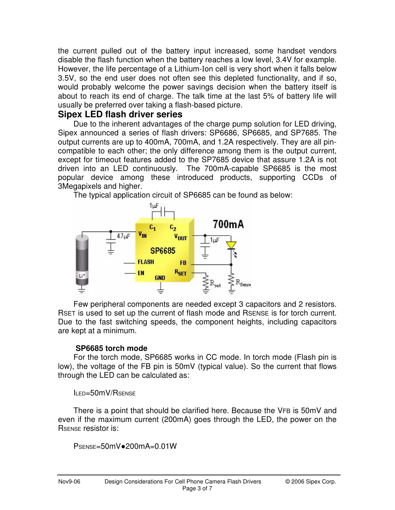the current pulled out of the battery input increased, some handset vendors disable the flash function when the battery reaches a low level, 3.4V for example. However, the life percentage of a Lithium-Ion cell is very short when it falls below 3.5V, so the end user does not often see this depleted functionality, and if so, would probably welcome the power savings decision when the battery itself is about to reach its end of charge. The talk time at the last 5% of battery life will usually be preferred over taking a flash-based picture.

#### **Sipex LED flash driver series**

Due to the inherent advantages of the charge pump solution for LED driving, Sipex announced a series of flash drivers: SP6686, SP6685, and SP7685. The output currents are up to 400mA, 700mA, and 1.2A respectively. They are all pincompatible to each other; the only difference among them is the output current, except for timeout features added to the SP7685 device that assure 1.2A is not driven into an LED continuously. The 700mA-capable SP6685 is the most popular device among these introduced products, supporting CCDs of 3Megapixels and higher.

The typical application circuit of SP6685 can be found as below:



Few peripheral components are needed except 3 capacitors and 2 resistors. RSET is used to set up the current of flash mode and RSENSE is for torch current. Due to the fast switching speeds, the component heights, including capacitors are kept at a minimum.

#### **SP6685 torch mode**

For the torch mode, SP6685 works in CC mode. In torch mode (Flash pin is low), the voltage of the FB pin is 50mV (typical value). So the current that flows through the LED can be calculated as:

#### ILED=50mV/RSENSE

There is a point that should be clarified here. Because the VFB is 50mV and even if the maximum current (200mA) goes through the LED, the power on the RSENSE resistor is:

```
PSENSE=50mV●200mA=0.01W
```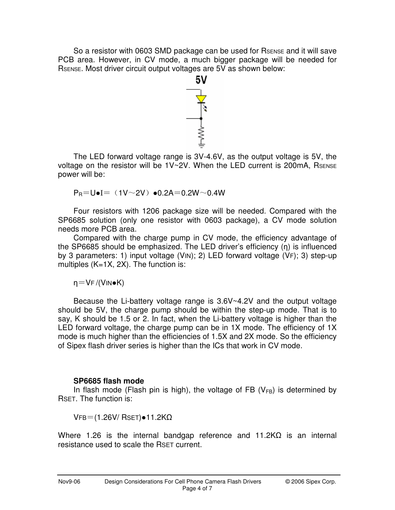So a resistor with 0603 SMD package can be used for RSENSE and it will save PCB area. However, in CV mode, a much bigger package will be needed for RSENSE. Most driver circuit output voltages are 5V as shown below:



The LED forward voltage range is 3V-4.6V, as the output voltage is 5V, the voltage on the resistor will be  $1\sqrt{2}V$ . When the LED current is 200mA, RSENSE power will be:

 $P_R = U \cdot I = (1V \sim 2V) \cdot 0.2A = 0.2W \sim 0.4W$ 

Four resistors with 1206 package size will be needed. Compared with the SP6685 solution (only one resistor with 0603 package), a CV mode solution needs more PCB area.

Compared with the charge pump in CV mode, the efficiency advantage of the SP6685 should be emphasized. The LED driver's efficiency (η) is influenced by 3 parameters: 1) input voltage (VIN); 2) LED forward voltage (VF); 3) step-up multiples (K=1X, 2X). The function is:

 $\eta = V_F / (V_N \bullet K)$ 

Because the Li-battery voltage range is 3.6V~4.2V and the output voltage should be 5V, the charge pump should be within the step-up mode. That is to say, K should be 1.5 or 2. In fact, when the Li-battery voltage is higher than the LED forward voltage, the charge pump can be in 1X mode. The efficiency of 1X mode is much higher than the efficiencies of 1.5X and 2X mode. So the efficiency of Sipex flash driver series is higher than the ICs that work in CV mode.

## **SP6685 flash mode**

In flash mode (Flash pin is high), the voltage of FB  $(V_{FB})$  is determined by RSET. The function is:

VFB=(1.26V/ RSET)●11.2KΩ

Where 1.26 is the internal bandgap reference and 11.2K $\Omega$  is an internal resistance used to scale the RSET current.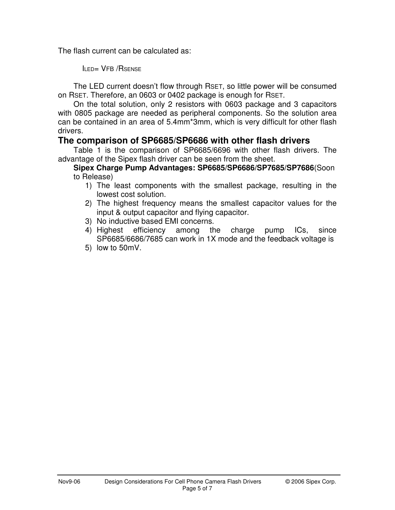The flash current can be calculated as:

ILED= VFB / RSENSE

The LED current doesn't flow through RSET, so little power will be consumed on RSET. Therefore, an 0603 or 0402 package is enough for RSET.

On the total solution, only 2 resistors with 0603 package and 3 capacitors with 0805 package are needed as peripheral components. So the solution area can be contained in an area of 5.4mm\*3mm, which is very difficult for other flash drivers.

## **The comparison of SP6685/SP6686 with other flash drivers**

Table 1 is the comparison of SP6685/6696 with other flash drivers. The advantage of the Sipex flash driver can be seen from the sheet.

#### **Sipex Charge Pump Advantages: SP6685/SP6686/SP7685/SP7686**(Soon to Release)

- 1) The least components with the smallest package, resulting in the lowest cost solution.
- 2) The highest frequency means the smallest capacitor values for the input & output capacitor and flying capacitor.
- 3) No inductive based EMI concerns.
- 4) Highest efficiency among the charge pump ICs, since SP6685/6686/7685 can work in 1X mode and the feedback voltage is
- 5) low to 50mV.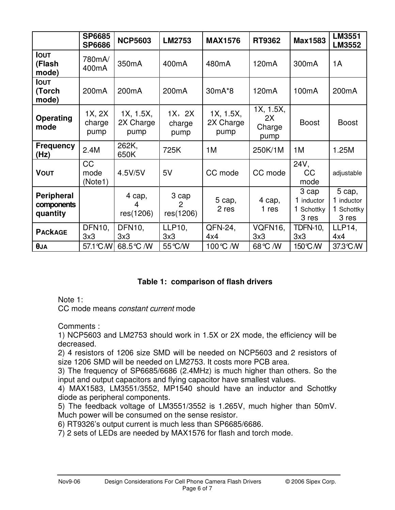|                                      | <b>SP6685</b><br><b>SP6686</b> | <b>NCP5603</b>                 | <b>LM2753</b>            | <b>MAX1576</b>                 | RT9362                            | <b>Max1583</b>                             | <b>LM3551</b><br><b>LM3552</b>            |
|--------------------------------------|--------------------------------|--------------------------------|--------------------------|--------------------------------|-----------------------------------|--------------------------------------------|-------------------------------------------|
| <b>IOUT</b><br>(Flash<br>mode)       | 780mA/<br>400mA                | 350mA                          | 400mA                    | 480mA                          | 120 <sub>m</sub> A                | 300mA                                      | 1A                                        |
| <b>IOUT</b><br>(Torch<br>mode)       | 200 <sub>m</sub> A             | 200mA                          | 200 <sub>m</sub> A       | 30mA*8                         | 120 <sub>m</sub> A                | 100mA                                      | 200 <sub>m</sub> A                        |
| Operating<br>mode                    | 1X, 2X<br>charge<br>pump       | 1X, 1.5X,<br>2X Charge<br>pump | 1X, 2X<br>charge<br>pump | 1X, 1.5X,<br>2X Charge<br>pump | 1X, 1.5X,<br>2X<br>Charge<br>pump | <b>Boost</b>                               | <b>Boost</b>                              |
| <b>Frequency</b><br>(Hz)             | 2.4M                           | 262K,<br>650K                  | 725K                     | 1M                             | 250K/1M                           | 1M                                         | 1.25M                                     |
| <b>VOUT</b>                          | <b>CC</b><br>mode<br>(Note1)   | 4.5V/5V                        | 5V                       | CC mode                        | CC mode                           | 24V,<br><b>CC</b><br>mode                  | adjustable                                |
| Peripheral<br>components<br>quantity |                                | 4 cap,<br>4<br>res(1206)       | 3 cap<br>2<br>res(1206)  | 5 cap,<br>2 res                | 4 cap,<br>1 res                   | 3 cap<br>1 inductor<br>1 Schottky<br>3 res | 5 cap,<br>inductor<br>1 Schottky<br>3 res |
| <b>PACKAGE</b>                       | DFN10,<br>3x3                  | DFN <sub>10</sub><br>3x3       | LLP10,<br>3x3            | QFN-24,<br>4x4                 | VQFN16,<br>3x3                    | <b>TDFN-10,</b><br>3x3                     | LLP14,<br>4x4                             |
| 0JA                                  | 57.1 C M                       | 68.5℃ /W                       | 55 °C/W                  | 100 ℃ /W                       | 68 °C /W                          | 150℃/W                                     | 37.3℃/W                                   |

#### **Table 1: comparison of flash drivers**

Note 1:

CC mode means constant current mode

Comments :

1) NCP5603 and LM2753 should work in 1.5X or 2X mode, the efficiency will be decreased.

2) 4 resistors of 1206 size SMD will be needed on NCP5603 and 2 resistors of size 1206 SMD will be needed on LM2753. It costs more PCB area.

3) The frequency of SP6685/6686 (2.4MHz) is much higher than others. So the input and output capacitors and flying capacitor have smallest values.

4) MAX1583, LM3551/3552, MP1540 should have an inductor and Schottky diode as peripheral components.

5) The feedback voltage of LM3551/3552 is 1.265V, much higher than 50mV. Much power will be consumed on the sense resistor.

6) RT9326's output current is much less than SP6685/6686.

7) 2 sets of LEDs are needed by MAX1576 for flash and torch mode.